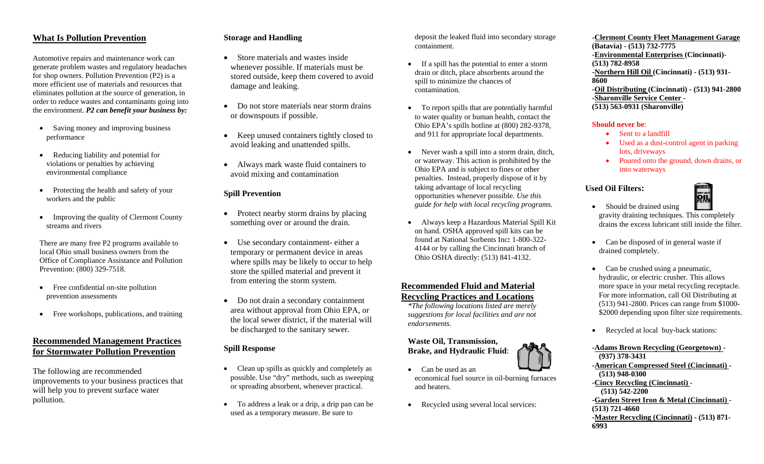# **What Is Pollution Prevention**

Automotive repairs and maintenance work can generate problem wastes and regulatory headaches for shop owners. Pollution Prevention (P2) is a more efficient use of materials and resources that eliminates pollution at the source of generation, in order to reduce wastes and contaminants going into the environment. *P2 can benefit your business by:*

- • Saving money and improving business performance
- • Reducing liability and potential for violations or penalties by achieving environmental compliance
- • Protecting the health and safety of your workers and the public
- • Improving the quality of Clermont County streams and rivers

There are many free P2 programs available to local Ohio small business owners from the Office of Compliance Assistance and Pollution Prevention: (800) 329-7518.

- Free confidential on-site pollution prevention assessments
- •Free workshops, publications, and training

# **Recommended Management Practices for Stormwater Pollution Prevention**

The following are recommended improvements to your business practices that will help you to prevent surface water pollution.

# **Storage and Handling**

- Store materials and wastes inside whenever possible. If materials must be stored outside, keep them covered to avoid damage and leaking.
- Do not store materials near storm drains or downspouts if possible.
- Keep unused containers tightly closed to avoid leaking and unattended spills.
- Always mark waste fluid containers to avoid mixing and contamination

### **Spill Prevention**

- Protect nearby storm drains by placing something over or around the drain.
- Use secondary containment- either a temporary or permanent device in areas where spills may be likely to occur to help store the spilled material and prevent it from entering the storm system.
- Do not drain a secondary containment area without approval from Ohio EPA, or the local sewer district, if the material will be discharged to the sanitary sewer.

### **Spill Response**

- Clean up spills as quickly and completely as possible. Use "dry" methods, such as sweeping or spreading absorbent, whenever practical.
- To address a leak or a drip, a drip pan can be used as a temporary measure. Be sure to

deposit the leaked fluid into secondary storage containment.

- If a spill has the potential to enter a storm drain or ditch, place absorbents around the spill to minimize the chances of contamination.
- To report spills that are potentially harmful to water quality or human health, contact the Ohio EPA's spills hotline at (800) 282-9378, and 911 for appropriate local departments.
- Never wash a spill into a storm drain, ditch, or waterway. This action is prohibited by the Ohio EPA and is subject to fines or other penalties. Instead, properly dispose of it by taking advantage of local recycling opportunities whenever possible. *Use this guide for help with local recycling programs.*
- • Always keep a Hazardous Material Spill Kit on hand. OSHA approved spill kits can be found at National Sorbents Inc**:** 1-800-322- 4144 or by calling the Cincinnati branch of Ohio OSHA directly: (513) 841-4132.

# **Recommended Fluid and Material Recycling Practices and Locations**

*\*The following locations listed are merely suggestions for local facilities and are not endorsements.*

### **Waste Oil, Transmission, Brake, and Hydraulic Fluid**:

- Can be used as an economical fuel source in oil-burning furnaces and heaters.
- •Recycled using several local services:

**-Clermont County Fleet Management Garage (Batavia) - (513) 732-7775 -Environmental Enterprises (Cincinnati)**- **(513) 782-8958 -Northern Hill Oil (Cincinnati) - (513) 931- 8600 -Oil Distributing (Cincinnati) - (513) 941-2800 -Sharonville Service Center - (513) 563-0931 (Sharonville)** 

#### **Should never be**:

- Sent to a landfill
- • Used as a dust-control agent in parking lots, driveways
- • Poured onto the ground, down drains, or into waterways

#### **Used Oil Filters:**



- Should be drained using gravity draining techniques. This completely drains the excess lubricant still inside the filter.
- • Can be disposed of in general waste if drained completely.
- Can be crushed using a pneumatic, hydraulic, or electric crusher. This allows more space in your metal recycling receptacle. For more information, call Oil Distributing at (513) 941-2800. Prices can range from \$1000- \$2000 depending upon filter size requirements.
- Recycled at local buy-back stations: